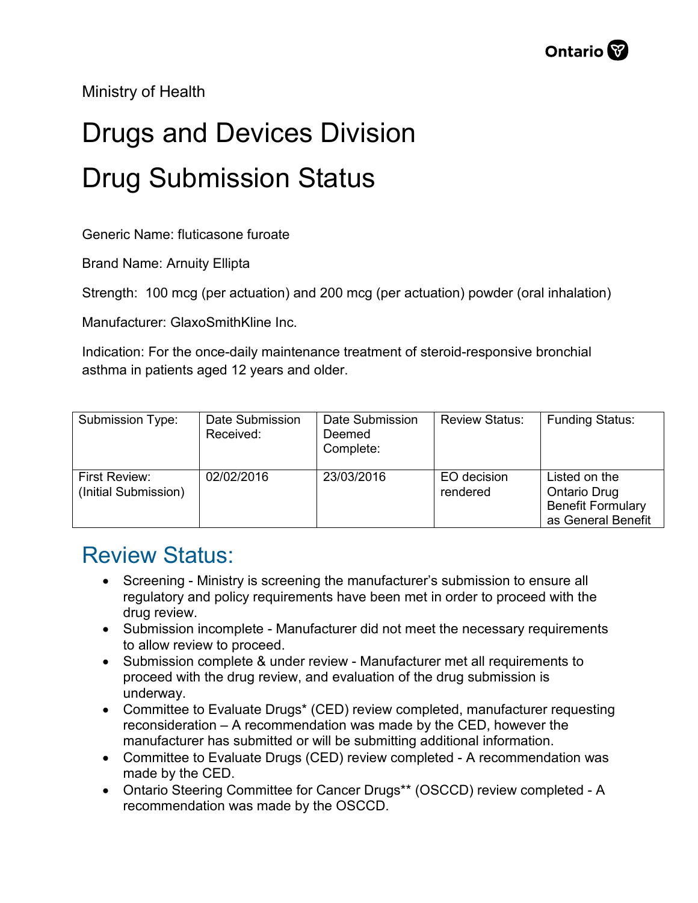Ministry of Health

## Drugs and Devices Division Drug Submission Status

Generic Name: fluticasone furoate

Brand Name: Arnuity Ellipta

Strength: 100 mcg (per actuation) and 200 mcg (per actuation) powder (oral inhalation)

Manufacturer: GlaxoSmithKline Inc.

Indication: For the once-daily maintenance treatment of steroid-responsive bronchial asthma in patients aged 12 years and older.

| Submission Type:                      | Date Submission<br>Received: | Date Submission<br>Deemed<br>Complete: | <b>Review Status:</b>   | <b>Funding Status:</b>                                                          |
|---------------------------------------|------------------------------|----------------------------------------|-------------------------|---------------------------------------------------------------------------------|
| First Review:<br>(Initial Submission) | 02/02/2016                   | 23/03/2016                             | EO decision<br>rendered | Listed on the<br>Ontario Drug<br><b>Benefit Formulary</b><br>as General Benefit |

## Review Status:

- Screening Ministry is screening the manufacturer's submission to ensure all regulatory and policy requirements have been met in order to proceed with the drug review.
- Submission incomplete Manufacturer did not meet the necessary requirements to allow review to proceed.
- Submission complete & under review Manufacturer met all requirements to proceed with the drug review, and evaluation of the drug submission is underway.
- Committee to Evaluate Drugs\* (CED) review completed, manufacturer requesting reconsideration – A recommendation was made by the CED, however the manufacturer has submitted or will be submitting additional information.
- Committee to Evaluate Drugs (CED) review completed A recommendation was made by the CED.
- Ontario Steering Committee for Cancer Drugs\*\* (OSCCD) review completed A recommendation was made by the OSCCD.